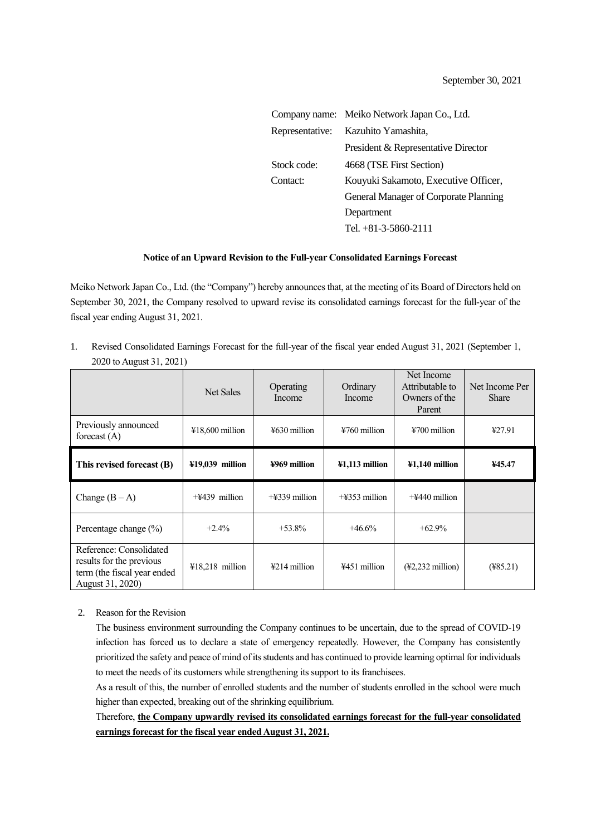|                 | Company name: Meiko Network Japan Co., Ltd. |  |  |
|-----------------|---------------------------------------------|--|--|
| Representative: | Kazuhito Yamashita,                         |  |  |
|                 | President & Representative Director         |  |  |
| Stock code:     | 4668 (TSE First Section)                    |  |  |
| Contact:        | Kouyuki Sakamoto, Executive Officer,        |  |  |
|                 | General Manager of Corporate Planning       |  |  |
|                 | Department                                  |  |  |
|                 | Tel. +81-3-5860-2111                        |  |  |

## **Notice of an Upward Revision to the Full-year Consolidated Earnings Forecast**

Meiko Network Japan Co., Ltd. (the "Company") hereby announces that, at the meeting of its Board of Directors held on September 30, 2021, the Company resolved to upward revise its consolidated earnings forecast for the full-year of the fiscal year ending August 31, 2021.

1. Revised Consolidated Earnings Forecast for the full-year of the fiscal year ended August 31, 2021 (September 1, 2020 to August 31, 2021)

|                                        | Net Sales                 | Operating<br>Income       | Ordinary<br>Income | Net Income<br>Attributable to<br>Owners of the<br>Parent | Net Income Per<br><b>Share</b> |
|----------------------------------------|---------------------------|---------------------------|--------------------|----------------------------------------------------------|--------------------------------|
| Previously announced<br>forecast $(A)$ | $418,600$ million         | $\frac{150}{20}$ million  | $4760$ million     | $\frac{12700}{111}$ million                              | ¥27.91                         |
| This revised forecast (B)              | $\text{\#19,039}$ million | ¥969 million              | $41,113$ million   | $41,140$ million                                         | ¥45.47                         |
|                                        |                           |                           |                    |                                                          |                                |
| Change $(B-A)$                         | $+\frac{1}{2}439$ million | $+\frac{1}{2}339$ million | $+4353$ million    | $+4440$ million                                          |                                |
| Percentage change (%)                  | $+2.4%$                   | $+53.8\%$                 | $+46.6%$           | $+62.9\%$                                                |                                |

## 2. Reason for the Revision

The business environment surrounding the Company continues to be uncertain, due to the spread of COVID-19 infection has forced us to declare a state of emergency repeatedly. However, the Company has consistently prioritized the safety and peace of mind of its students and has continued to provide learning optimal for individuals to meet the needs of its customers while strengthening its support to its franchisees.

As a result of this, the number of enrolled students and the number of students enrolled in the school were much higher than expected, breaking out of the shrinking equilibrium.

Therefore, **the Company upwardly revised its consolidated earnings forecast for the full-year consolidated earnings forecast for the fiscal year ended August 31, 2021.**